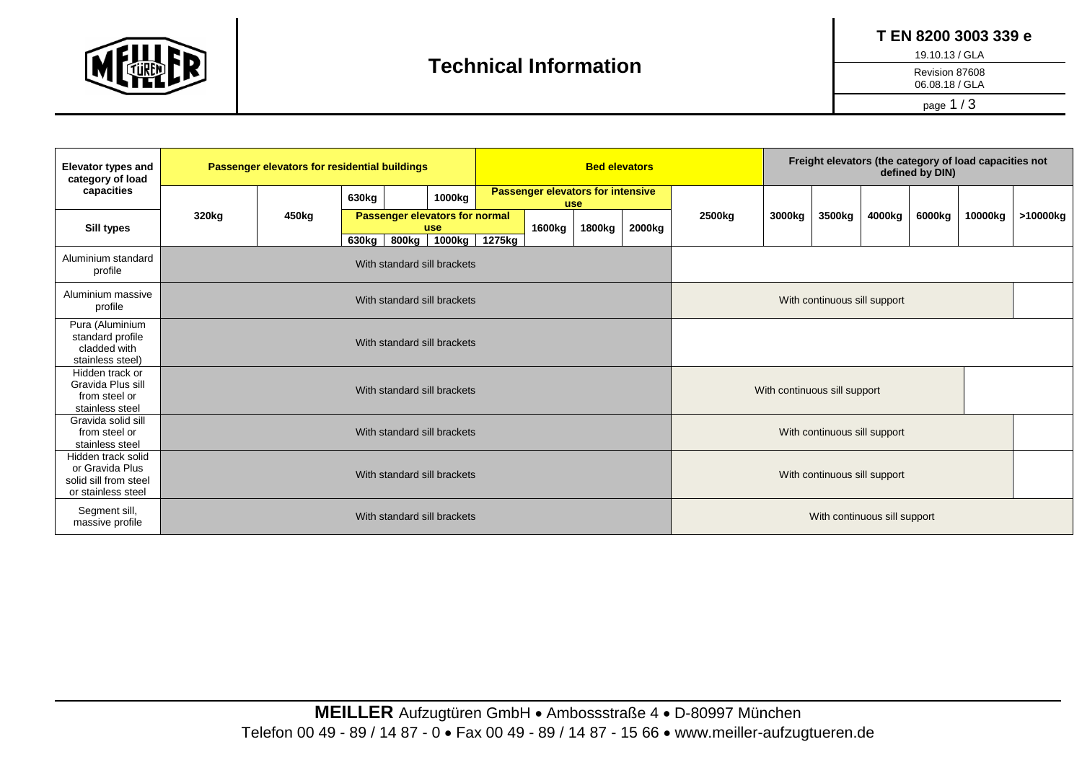

 **T EN 8200 3003 339 e**

19.10.13 / GLA

Revision 87608

06.08.18 / GLA

page 1 / 3

| <b>Elevator types and</b><br>category of load<br>capacities                          | Passenger elevators for residential buildings |       |       |       |                                       | <b>Bed elevators</b> |                                                        |                              |        |        | Freight elevators (the category of load capacities not<br>defined by DIN) |        |        |        |         |          |
|--------------------------------------------------------------------------------------|-----------------------------------------------|-------|-------|-------|---------------------------------------|----------------------|--------------------------------------------------------|------------------------------|--------|--------|---------------------------------------------------------------------------|--------|--------|--------|---------|----------|
|                                                                                      |                                               |       |       |       | 1000kg                                |                      | <b>Passenger elevators for intensive</b><br><b>use</b> |                              |        |        |                                                                           |        |        |        |         |          |
| Sill types                                                                           | 320kg                                         | 450kg |       |       | Passenger elevators for normal<br>use |                      | 1600kg                                                 | 1800kg                       | 2000kg | 2500kg | 3000kg                                                                    | 3500kg | 4000kg | 6000kg | 10000kg | >10000kg |
|                                                                                      |                                               |       | 630kg | 800kg |                                       | 1000kg 1275kg        |                                                        |                              |        |        |                                                                           |        |        |        |         |          |
| Aluminium standard<br>profile                                                        | With standard sill brackets                   |       |       |       |                                       |                      |                                                        |                              |        |        |                                                                           |        |        |        |         |          |
| Aluminium massive<br>profile                                                         | With standard sill brackets                   |       |       |       |                                       |                      | With continuous sill support                           |                              |        |        |                                                                           |        |        |        |         |          |
| Pura (Aluminium<br>standard profile<br>cladded with<br>stainless steel)              | With standard sill brackets                   |       |       |       |                                       |                      |                                                        |                              |        |        |                                                                           |        |        |        |         |          |
| Hidden track or<br>Gravida Plus sill<br>from steel or<br>stainless steel             | With standard sill brackets                   |       |       |       |                                       |                      |                                                        | With continuous sill support |        |        |                                                                           |        |        |        |         |          |
| Gravida solid sill<br>from steel or<br>stainless steel                               | With standard sill brackets                   |       |       |       |                                       |                      | With continuous sill support                           |                              |        |        |                                                                           |        |        |        |         |          |
| Hidden track solid<br>or Gravida Plus<br>solid sill from steel<br>or stainless steel | With standard sill brackets                   |       |       |       |                                       |                      |                                                        | With continuous sill support |        |        |                                                                           |        |        |        |         |          |
| Segment sill,<br>massive profile                                                     | With standard sill brackets                   |       |       |       |                                       |                      | With continuous sill support                           |                              |        |        |                                                                           |        |        |        |         |          |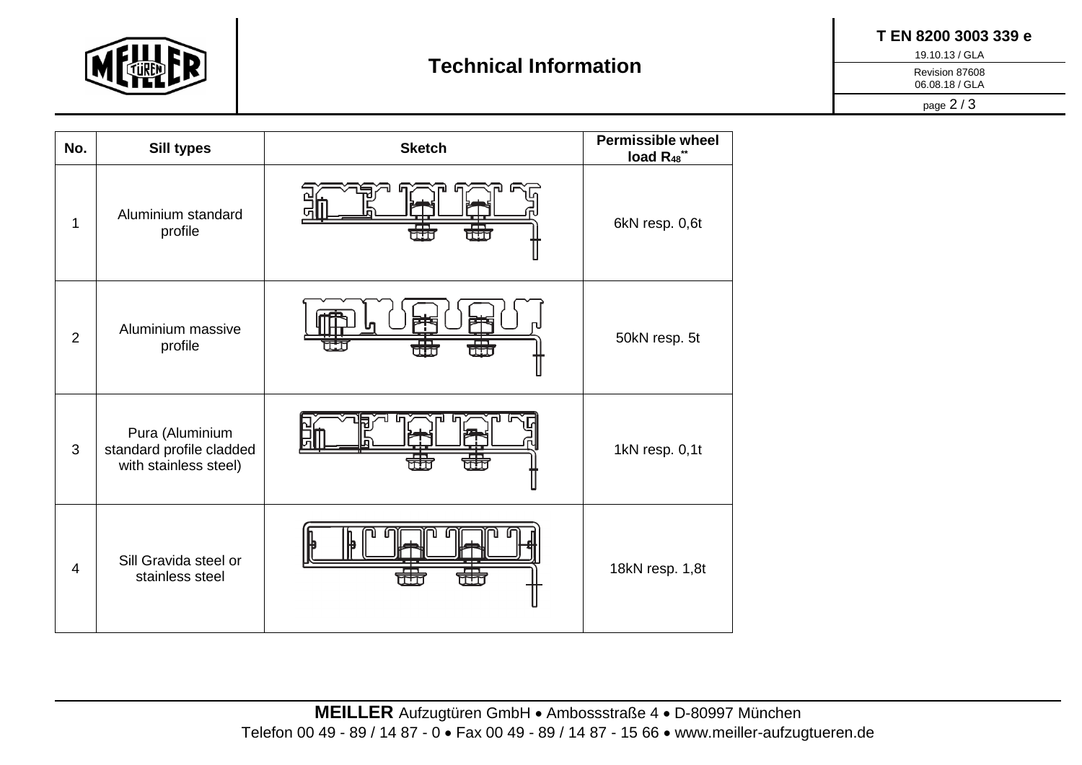

 **T EN 8200 3003 339 e**

19.10.13 / GLA

Revision 87608

06.08.18 / GLA

page 2 / 3

| No.            | <b>Sill types</b>                                                    | <b>Sketch</b> | <b>Permissible wheel</b><br>load R <sub>48</sub> ** |  |  |
|----------------|----------------------------------------------------------------------|---------------|-----------------------------------------------------|--|--|
| 1              | Aluminium standard<br>profile                                        | 聶<br>┯┯       | 6kN resp. 0,6t                                      |  |  |
| $\overline{2}$ | Aluminium massive<br>profile                                         | 聶<br>ĦT       | 50kN resp. 5t                                       |  |  |
| 3              | Pura (Aluminium<br>standard profile cladded<br>with stainless steel) |               | 1kN resp. 0,1t                                      |  |  |
| $\overline{4}$ | Sill Gravida steel or<br>stainless steel                             |               | 18kN resp. 1,8t                                     |  |  |